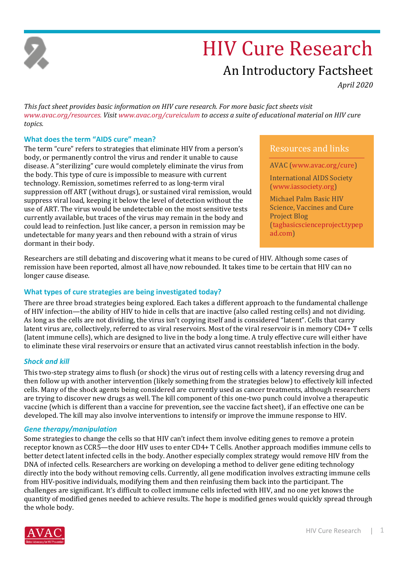

# HIV Cure Research

# An Introductory Factsheet

*April 2020*

*This fact sheet provides basic information on HIV cure research. For more basic fact sheets visit [www.avac.org/resources.](http://www.avac.org/resources.) Visi[t www.avac.org/cureiculum](http://www.avac.org/cureiculum) to access a suite of educational material on HIV cure topics.*

## **What does the term "AIDS cure" mean?**

The term "cure" refers to strategies that eliminate HIV from a person's body, or permanently control the virus and render it unable to cause disease. A "sterilizing" cure would completely eliminate the virus from the body. This type of cure is impossible to measure with current technology. Remission, sometimes referred to as long-term viral suppression off ART (without drugs), or sustained viral remission, would suppress viral load, keeping it below the level of detection without the use of ART. The virus would be undetectable on the most sensitive tests currently available, but traces of the virus may remain in the body and could lead to reinfection. Just like cancer, a person in remission may be undetectable for many years and then rebound with a strain of virus dormant in their body.

Resources and links

AVAC [\(www.avac.org/cure\)](http://www.avac.org/cure)

International AIDS Society [\(www.iassociety.org\)](http://www.iassociety.org/)

Michael Palm Basic HIV Science, Vaccines and Cure Project Blog [\(tagbasicscienceproject.typep](http://tagbasicscienceproject.typepad.com/) [ad.com\)](http://tagbasicscienceproject.typepad.com/)

Researchers are still debating and discovering what it means to be cured of HIV. Although some cases of remission have been reported, almost all have now rebounded. It takes time to be certain that HIV can no longer cause disease.

# **What types of cure strategies are being investigated today?**

There are three broad strategies being explored. Each takes a different approach to the fundamental challenge of HIV infection—the ability of HIV to hide in cells that are inactive (also called resting cells) and not dividing. As long as the cells are not dividing, the virus isn't copying itself and is considered "latent". Cells that carry latent virus are, collectively, referred to as viral reservoirs. Most of the viral reservoir is in memory CD4+ T cells (latent immune cells), which are designed to live in the body a long time. A truly effective cure will either have to eliminate these viral reservoirs or ensure that an activated virus cannot reestablish infection in the body.

# *Shock and kill*

This two-step strategy aims to flush (or shock) the virus out of resting cells with a latency reversing drug and then follow up with another intervention (likely something from the strategies below) to effectively kill infected cells. Many of the shock agents being considered are currently used as cancer treatments, although researchers are trying to discover new drugs as well. The kill component of this one-two punch could involve a therapeutic vaccine (which is different than a vaccine for prevention, see the vaccine fact sheet), if an effective one can be developed. The kill may also involve interventions to intensify or improve the immune response to HIV.

### *Gene therapy/manipulation*

Some strategies to change the cells so that HIV can't infect them involve editing genes to remove a protein receptor known as CCR5—the door HIV uses to enter CD4+ T Cells. Another approach modifies immune cells to better detect latent infected cells in the body. Another especially complex strategy would remove HIV from the DNA of infected cells. Researchers are working on developing a method to deliver gene editing technology directly into the body without removing cells. Currently, all gene modification involves extracting immune cells from HIV-positive individuals, modifying them and then reinfusing them back into the participant. The challenges are significant. It's difficult to collect immune cells infected with HIV, and no one yet knows the quantity of modified genes needed to achieve results. The hope is modified genes would quickly spread through the whole body.